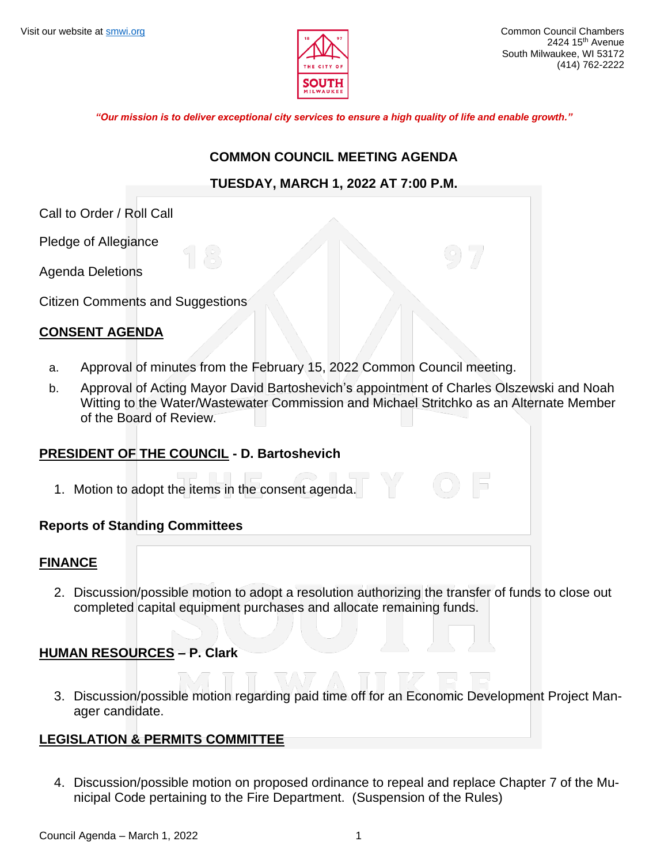

*"Our mission is to deliver exceptional city services to ensure a high quality of life and enable growth."*

#### **COMMON COUNCIL MEETING AGENDA**

#### **TUESDAY, MARCH 1, 2022 AT 7:00 P.M.**

Call to Order / Roll Call

Pledge of Allegiance

Agenda Deletions

Citizen Comments and Suggestions

## **CONSENT AGENDA**

- a. Approval of minutes from the February 15, 2022 Common Council meeting.
- b. Approval of Acting Mayor David Bartoshevich's appointment of Charles Olszewski and Noah Witting to the Water/Wastewater Commission and Michael Stritchko as an Alternate Member of the Board of Review.

#### **PRESIDENT OF THE COUNCIL - D. Bartoshevich**

1. Motion to adopt the items in the consent agenda.

#### **Reports of Standing Committees**

#### **FINANCE**

2. Discussion/possible motion to adopt a resolution authorizing the transfer of funds to close out completed capital equipment purchases and allocate remaining funds.

#### **HUMAN RESOURCES – P. Clark**

3. Discussion/possible motion regarding paid time off for an Economic Development Project Manager candidate.

#### **LEGISLATION & PERMITS COMMITTEE**

4. Discussion/possible motion on proposed ordinance to repeal and replace Chapter 7 of the Municipal Code pertaining to the Fire Department. (Suspension of the Rules)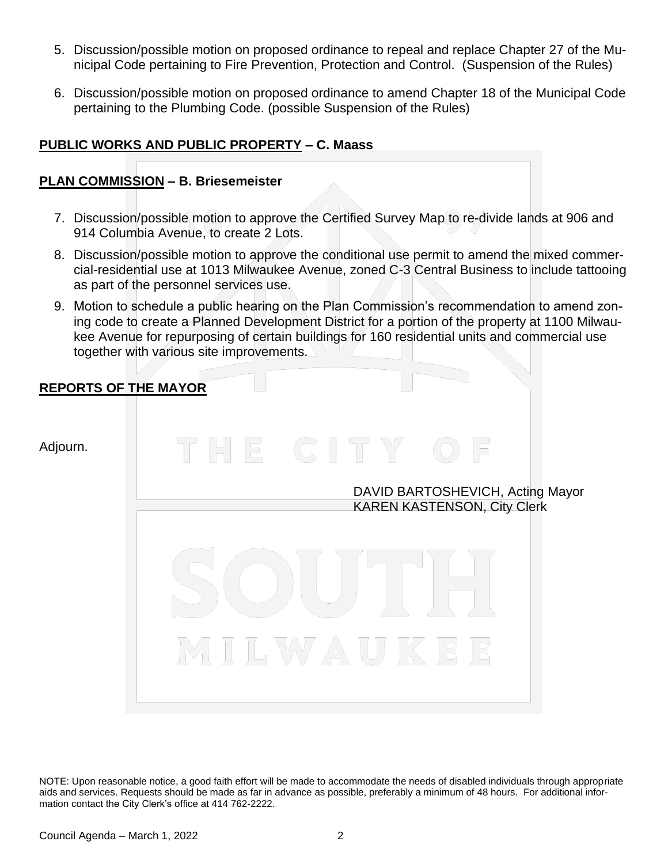- 5. Discussion/possible motion on proposed ordinance to repeal and replace Chapter 27 of the Municipal Code pertaining to Fire Prevention, Protection and Control. (Suspension of the Rules)
- 6. Discussion/possible motion on proposed ordinance to amend Chapter 18 of the Municipal Code pertaining to the Plumbing Code. (possible Suspension of the Rules)

# **PUBLIC WORKS AND PUBLIC PROPERTY – C. Maass**

#### **PLAN COMMISSION – B. Briesemeister**

- 7. Discussion/possible motion to approve the Certified Survey Map to re-divide lands at 906 and 914 Columbia Avenue, to create 2 Lots.
- 8. Discussion/possible motion to approve the conditional use permit to amend the mixed commercial-residential use at 1013 Milwaukee Avenue, zoned C-3 Central Business to include tattooing as part of the personnel services use.
- 9. Motion to schedule a public hearing on the Plan Commission's recommendation to amend zoning code to create a Planned Development District for a portion of the property at 1100 Milwaukee Avenue for repurposing of certain buildings for 160 residential units and commercial use together with various site improvements.

## **REPORTS OF THE MAYOR**

Adjourn.

DAVID BARTOSHEVICH, Acting Mayor KAREN KASTENSON, City Clerk



NOTE: Upon reasonable notice, a good faith effort will be made to accommodate the needs of disabled individuals through appropriate aids and services. Requests should be made as far in advance as possible, preferably a minimum of 48 hours. For additional information contact the City Clerk's office at 414 762-2222.